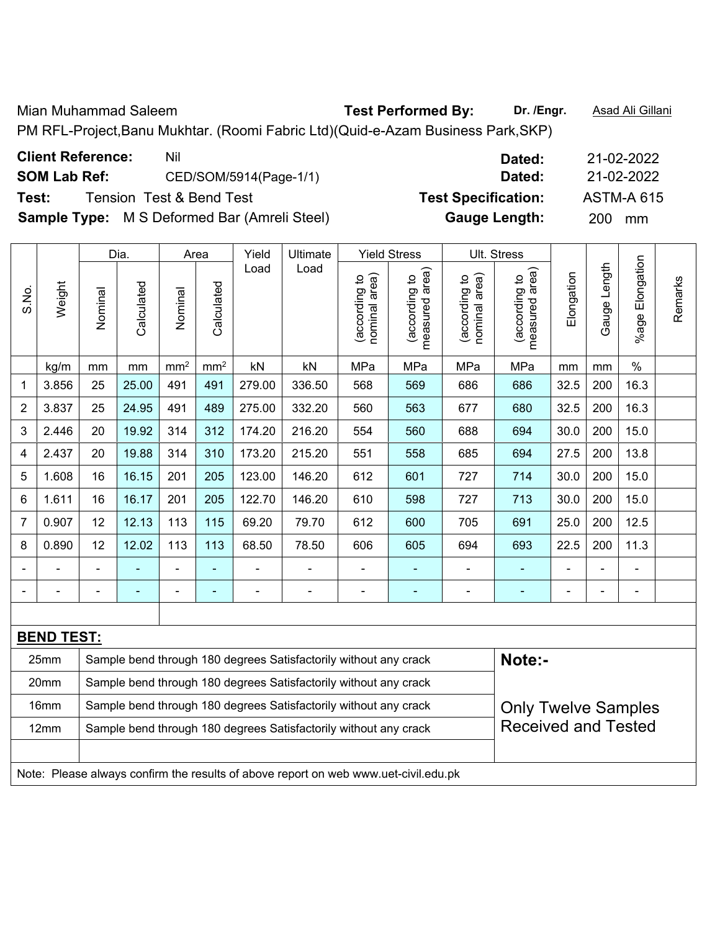Mian Muhammad Saleem **Test Performed By: Dr. /Engr.** Asad Ali Gillani

PM RFL-Project,Banu Mukhtar. (Roomi Fabric Ltd)(Quid-e-Azam Business Park,SKP)

**SOM Lab Ref:** CED/SOM/5914(Page-1/1) **Dated:** 21-02-2022

**Sample Type:** M S Deformed Bar (Amreli Steel) **Gauge Length:** 200 mm

|                |                   |                | Dia.           | Area                     |                 | Yield          | Ultimate                                                         |                                | <b>Yield Stress</b>             |                                | Ult. Stress                        |                |                |                      | Remarks |
|----------------|-------------------|----------------|----------------|--------------------------|-----------------|----------------|------------------------------------------------------------------|--------------------------------|---------------------------------|--------------------------------|------------------------------------|----------------|----------------|----------------------|---------|
| S.No.          | Weight            | Nominal        | Calculated     | Nominal                  | Calculated      | Load           | Load                                                             | nominal area)<br>(according to | measured area)<br>(according to | (according to<br>nominal area) | area)<br>(according to<br>measured | Elongation     | Gauge Length   | Elongation<br>%age I |         |
|                | kg/m              | mm             | mm             | mm <sup>2</sup>          | mm <sup>2</sup> | kN             | kN                                                               | MPa                            | MPa                             | MPa                            | MPa                                | mm             | mm             | $\%$                 |         |
| 1              | 3.856             | 25             | 25.00          | 491                      | 491             | 279.00         | 336.50                                                           | 568                            | 569                             | 686                            | 686                                | 32.5           | 200            | 16.3                 |         |
| $\overline{2}$ | 3.837             | 25             | 24.95          | 491                      | 489             | 275.00         | 332.20                                                           | 560                            | 563                             | 677                            | 680                                | 32.5           | 200            | 16.3                 |         |
| 3              | 2.446             | 20             | 19.92          | 314                      | 312             | 174.20         | 216.20                                                           | 554                            | 560                             | 688                            | 694                                | 30.0           | 200            | 15.0                 |         |
| 4              | 2.437             | 20             | 19.88          | 314                      | 310             | 173.20         | 215.20                                                           | 551                            | 558                             | 685                            | 694                                | 27.5           | 200            | 13.8                 |         |
| 5              | 1.608             | 16             | 16.15          | 201                      | 205             | 123.00         | 146.20                                                           | 612                            | 601                             | 727                            | 714                                | 30.0           | 200            | 15.0                 |         |
| 6              | 1.611             | 16             | 16.17          | 201                      | 205             | 122.70         | 146.20                                                           | 610                            | 598                             | 727                            | 713                                | 30.0           | 200            | 15.0                 |         |
| $\overline{7}$ | 0.907             | 12             | 12.13          | 113                      | 115             | 69.20          | 79.70                                                            | 612                            | 600                             | 705                            | 691                                | 25.0           | 200            | 12.5                 |         |
| 8              | 0.890             | 12             | 12.02          | 113                      | 113             | 68.50          | 78.50                                                            | 606                            | 605                             | 694                            | 693                                | 22.5           | 200            | 11.3                 |         |
|                | $\blacksquare$    | $\blacksquare$ | ÷              | $\overline{\phantom{a}}$ | ÷,              |                |                                                                  | $\blacksquare$                 | $\blacksquare$                  |                                | $\blacksquare$                     |                | $\blacksquare$ | $\blacksquare$       |         |
|                |                   |                | $\blacksquare$ | $\blacksquare$           | $\blacksquare$  | $\blacksquare$ | $\blacksquare$                                                   | $\blacksquare$                 | $\blacksquare$                  | $\blacksquare$                 | ۰                                  | $\blacksquare$ | $\blacksquare$ | Ē,                   |         |
|                |                   |                |                |                          |                 |                |                                                                  |                                |                                 |                                |                                    |                |                |                      |         |
|                | <b>BEND TEST:</b> |                |                |                          |                 |                |                                                                  |                                |                                 |                                |                                    |                |                |                      |         |
|                | 25mm              |                |                |                          |                 |                | Sample bend through 180 degrees Satisfactorily without any crack |                                |                                 |                                | Note:-                             |                |                |                      |         |
|                | 20mm              |                |                |                          |                 |                | Sample bend through 180 degrees Satisfactorily without any crack |                                |                                 |                                |                                    |                |                |                      |         |
|                | 16mm              |                |                |                          |                 |                | Sample bend through 180 degrees Satisfactorily without any crack |                                |                                 |                                | <b>Only Twelve Samples</b>         |                |                |                      |         |
|                | 12mm              |                |                |                          |                 |                | Sample bend through 180 degrees Satisfactorily without any crack |                                |                                 |                                | <b>Received and Tested</b>         |                |                |                      |         |
|                |                   |                |                |                          |                 |                |                                                                  |                                |                                 |                                |                                    |                |                |                      |         |

Note: Please always confirm the results of above report on web www.uet-civil.edu.pk

**Client Reference:** Nil **Dated:** 21-02-2022 **Test:** Tension Test & Bend Test **Test Specification:** ASTM-A 615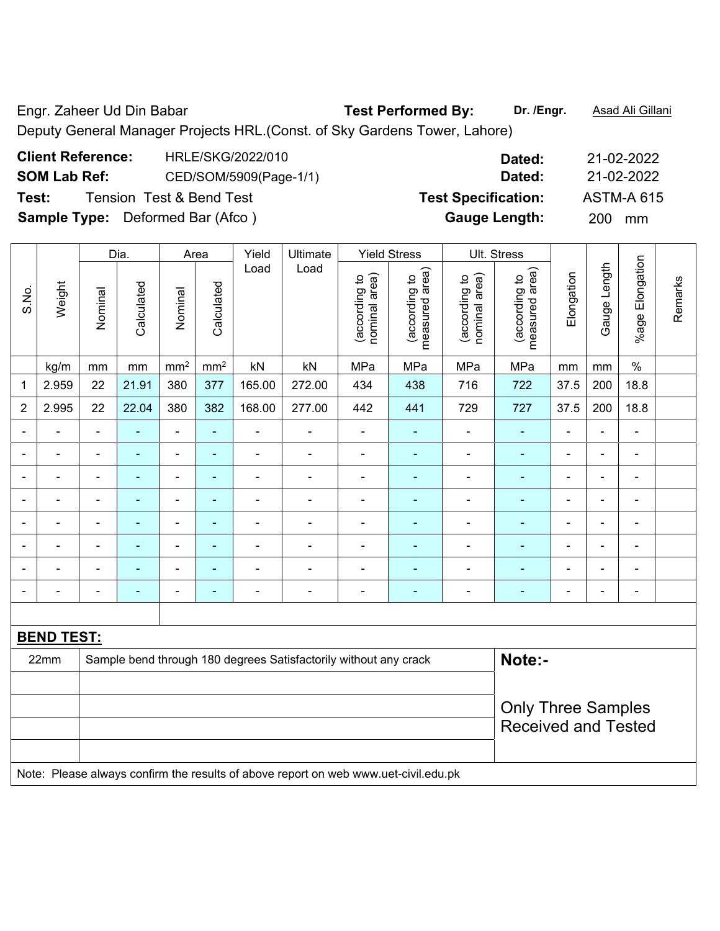Engr. Zaheer Ud Din Babar **Test Performed By: Dr. /Engr.** Asad Ali Gillani Deputy General Manager Projects HRL.(Const. of Sky Gardens Tower, Lahore)

| <b>Client Reference:</b>                | HRLE/SKG/2022/010                   | Dated:                     | 21-02-2022        |  |  |  |  |  |
|-----------------------------------------|-------------------------------------|----------------------------|-------------------|--|--|--|--|--|
| <b>SOM Lab Ref:</b>                     | CED/SOM/5909(Page-1/1)              | 21-02-2022<br>Dated:       |                   |  |  |  |  |  |
| Test:                                   | <b>Tension Test &amp; Bend Test</b> | <b>Test Specification:</b> | <b>ASTM-A 615</b> |  |  |  |  |  |
| <b>Sample Type:</b> Deformed Bar (Afco) |                                     | <b>Gauge Length:</b>       | 200 l<br>mm       |  |  |  |  |  |

|                |                   | Dia.<br>Area   |                |                              |                 | Yield          | Ultimate                                                                            |                                | <b>Yield Stress</b>             |                                | Ult. Stress                     |                |                |                          |         |
|----------------|-------------------|----------------|----------------|------------------------------|-----------------|----------------|-------------------------------------------------------------------------------------|--------------------------------|---------------------------------|--------------------------------|---------------------------------|----------------|----------------|--------------------------|---------|
| S.No.          | Weight            | Nominal        | Calculated     | Nominal                      | Calculated      | Load           | Load                                                                                | nominal area)<br>(according to | (according to<br>measured area) | (according to<br>nominal area) | (according to<br>measured area) | Elongation     | Gauge Length   | %age Elongation          | Remarks |
|                | kg/m              | mm             | mm             | mm <sup>2</sup>              | mm <sup>2</sup> | kN             | kN                                                                                  | MPa                            | MPa                             | MPa                            | MPa                             | mm             | mm             | $\frac{0}{0}$            |         |
| 1              | 2.959             | 22             | 21.91          | 380                          | 377             | 165.00         | 272.00                                                                              | 434                            | 438                             | 716                            | 722                             | 37.5           | 200            | 18.8                     |         |
| $\overline{2}$ | 2.995             | 22             | 22.04          | 380                          | 382             | 168.00         | 277.00                                                                              | 442                            | 441                             | 729                            | 727                             | 37.5           | 200            | 18.8                     |         |
|                |                   | $\blacksquare$ |                | $\blacksquare$               | $\blacksquare$  | $\blacksquare$ | $\blacksquare$                                                                      |                                |                                 | ۰                              | ٠                               | $\blacksquare$ | $\blacksquare$ | $\blacksquare$           |         |
|                | $\blacksquare$    | $\blacksquare$ | $\blacksquare$ | $\qquad \qquad \blacksquare$ | $\blacksquare$  | $\blacksquare$ | $\overline{\phantom{a}}$                                                            | $\qquad \qquad \blacksquare$   | $\blacksquare$                  | $\overline{\phantom{0}}$       | $\blacksquare$                  | $\blacksquare$ | $\blacksquare$ | $\overline{\phantom{a}}$ |         |
| $\blacksquare$ | $\blacksquare$    | $\blacksquare$ | ä,             | $\blacksquare$               | $\blacksquare$  | $\blacksquare$ | $\overline{\phantom{a}}$                                                            | $\blacksquare$                 | $\blacksquare$                  | $\overline{\phantom{0}}$       | $\blacksquare$                  | $\blacksquare$ | $\blacksquare$ | ÷,                       |         |
|                | $\blacksquare$    | $\blacksquare$ | ä,             | $\qquad \qquad \blacksquare$ | $\blacksquare$  | $\blacksquare$ | ÷.                                                                                  | $\blacksquare$                 | Ξ                               | $\blacksquare$                 | ÷,                              | $\blacksquare$ | $\blacksquare$ | $\overline{\phantom{a}}$ |         |
|                |                   | $\blacksquare$ | $\blacksquare$ | ä,                           | $\blacksquare$  | $\blacksquare$ | $\blacksquare$                                                                      | $\blacksquare$                 | ٠                               | $\blacksquare$                 | ä,                              | $\blacksquare$ |                | $\blacksquare$           |         |
|                |                   | $\blacksquare$ |                | ÷                            | $\blacksquare$  | $\blacksquare$ | $\blacksquare$                                                                      | ÷                              | ÷                               | -                              |                                 | $\blacksquare$ | $\blacksquare$ | $\blacksquare$           |         |
|                |                   |                |                | $\blacksquare$               | $\blacksquare$  | $\blacksquare$ | $\blacksquare$                                                                      | ٠                              | ۰                               | ÷                              | $\blacksquare$                  | $\blacksquare$ |                | $\blacksquare$           |         |
| $\blacksquare$ | $\blacksquare$    | $\blacksquare$ | $\blacksquare$ | $\blacksquare$               | $\blacksquare$  | $\blacksquare$ | $\blacksquare$                                                                      | $\blacksquare$                 | ٠                               | ۰                              | $\blacksquare$                  | $\blacksquare$ | $\blacksquare$ | $\blacksquare$           |         |
|                |                   |                |                |                              |                 |                |                                                                                     |                                |                                 |                                |                                 |                |                |                          |         |
|                | <b>BEND TEST:</b> |                |                |                              |                 |                |                                                                                     |                                |                                 |                                |                                 |                |                |                          |         |
|                | 22mm              |                |                |                              |                 |                | Sample bend through 180 degrees Satisfactorily without any crack                    |                                |                                 |                                | Note:-                          |                |                |                          |         |
|                |                   |                |                |                              |                 |                |                                                                                     |                                |                                 |                                |                                 |                |                |                          |         |
|                |                   |                |                |                              |                 |                |                                                                                     | <b>Only Three Samples</b>      |                                 |                                |                                 |                |                |                          |         |
|                |                   |                |                |                              |                 |                |                                                                                     |                                |                                 |                                | <b>Received and Tested</b>      |                |                |                          |         |
|                |                   |                |                |                              |                 |                |                                                                                     |                                |                                 |                                |                                 |                |                |                          |         |
|                |                   |                |                |                              |                 |                | Note: Please always confirm the results of above report on web www.uet-civil.edu.pk |                                |                                 |                                |                                 |                |                |                          |         |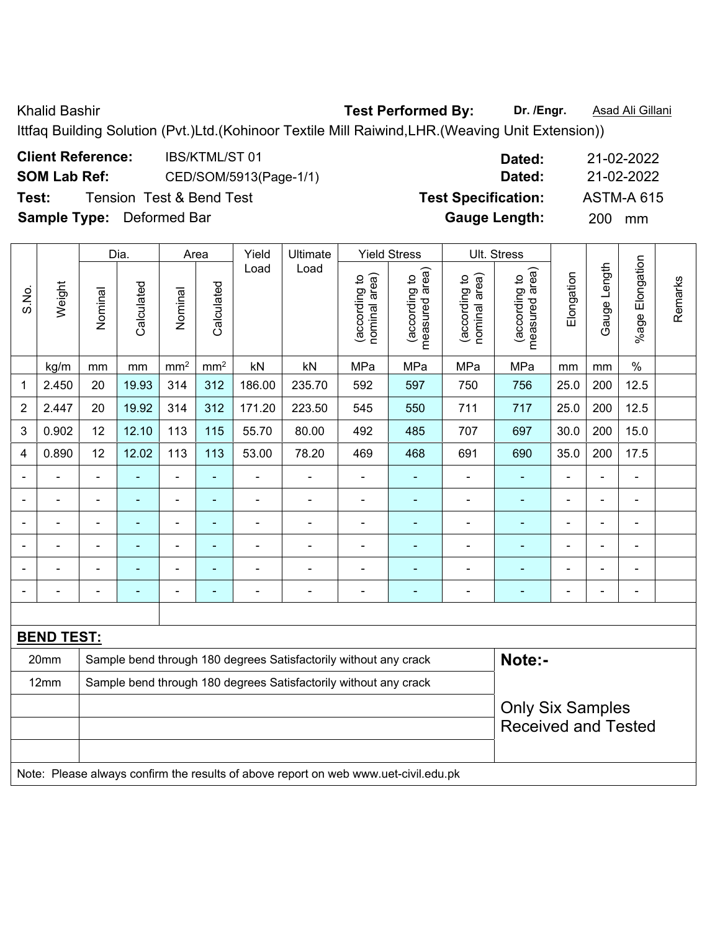Khalid Bashir **Test Performed By:** Dr. /Engr. **Asad Ali Gillani** Associated By: Dr. /Engr. **Asad Ali Gillani** 

Ittfaq Building Solution (Pvt.)Ltd.(Kohinoor Textile Mill Raiwind,LHR.(Weaving Unit Extension))

| <b>Client Reference:</b>         | <b>IBS/KTML/ST 01</b>               | Dated:                     | 21-02-2022        |
|----------------------------------|-------------------------------------|----------------------------|-------------------|
| <b>SOM Lab Ref:</b>              | CED/SOM/5913(Page-1/1)              | Dated:                     | 21-02-2022        |
| Test:                            | <b>Tension Test &amp; Bend Test</b> | <b>Test Specification:</b> | <b>ASTM-A 615</b> |
| <b>Sample Type:</b> Deformed Bar |                                     | <b>Gauge Length:</b>       | 200<br>mm         |

|       |                   |                | Dia.                                                             |                          | Area                     | Yield          | Ultimate                                                         |                                | <b>Yield Stress</b>             |                                | Ult. Stress                     |                |                |                 |         |
|-------|-------------------|----------------|------------------------------------------------------------------|--------------------------|--------------------------|----------------|------------------------------------------------------------------|--------------------------------|---------------------------------|--------------------------------|---------------------------------|----------------|----------------|-----------------|---------|
| S.No. | Weight            | Nominal        | Calculated                                                       | Nominal                  | Calculated               | Load           | Load                                                             | nominal area)<br>(according to | measured area)<br>(according to | nominal area)<br>(according to | measured area)<br>(according to | Elongation     | Gauge Length   | %age Elongation | Remarks |
|       | kg/m              | mm             | mm                                                               | mm <sup>2</sup>          | mm <sup>2</sup>          | kN             | kN                                                               | MPa                            | MPa                             | MPa                            | MPa                             | mm             | mm             | $\%$            |         |
| 1     | 2.450             | 20             | 19.93                                                            | 314                      | 312                      | 186.00         | 235.70                                                           | 592                            | 597                             | 750                            | 756                             | 25.0           | 200            | 12.5            |         |
| 2     | 2.447             | 20             | 19.92                                                            | 314                      | 312                      | 171.20         | 223.50                                                           | 545                            | 550                             | 711                            | 717                             | 25.0           | 200            | 12.5            |         |
| 3     | 0.902             | 12             | 12.10                                                            | 113                      | 115                      | 55.70          | 80.00                                                            | 492                            | 485                             | 707                            | 697                             | 30.0           | 200            | 15.0            |         |
| 4     | 0.890             | 12             | 12.02                                                            | 113                      | 113                      | 53.00          | 78.20                                                            | 469                            | 468                             | 691                            | 690                             | 35.0           | 200            | 17.5            |         |
|       |                   | $\blacksquare$ | $\blacksquare$                                                   | $\overline{\phantom{a}}$ | $\blacksquare$           | $\blacksquare$ | $\blacksquare$                                                   | $\overline{a}$                 | ٠                               | $\blacksquare$                 | $\blacksquare$                  | $\blacksquare$ | $\blacksquare$ | $\blacksquare$  |         |
|       |                   | $\blacksquare$ | ä,                                                               | $\blacksquare$           | $\blacksquare$           | $\blacksquare$ | $\blacksquare$                                                   | $\blacksquare$                 | ٠                               | $\blacksquare$                 | $\blacksquare$                  | $\blacksquare$ | $\blacksquare$ | $\blacksquare$  |         |
|       | ÷                 | $\blacksquare$ | $\blacksquare$                                                   | ÷,                       | $\blacksquare$           |                | $\blacksquare$                                                   | $\blacksquare$                 | $\blacksquare$                  | ÷,                             | ÷                               | $\blacksquare$ | $\blacksquare$ | $\blacksquare$  |         |
|       |                   | ۰              | ٠                                                                | $\blacksquare$           | $\blacksquare$           | $\blacksquare$ |                                                                  | $\blacksquare$                 | ۰                               | $\blacksquare$                 | ۰                               | $\blacksquare$ | $\blacksquare$ | $\blacksquare$  |         |
|       |                   |                | $\blacksquare$                                                   | $\blacksquare$           | ä,                       | $\blacksquare$ | $\blacksquare$                                                   | $\blacksquare$                 | ۰                               | $\blacksquare$                 | ÷,                              | $\blacksquare$ | $\blacksquare$ | $\blacksquare$  |         |
|       |                   |                |                                                                  | ۰                        | $\overline{\phantom{0}}$ |                | $\blacksquare$                                                   | $\overline{a}$                 | ÷                               | ۰                              |                                 | $\blacksquare$ | $\blacksquare$ | $\blacksquare$  |         |
|       |                   |                |                                                                  |                          |                          |                |                                                                  |                                |                                 |                                |                                 |                |                |                 |         |
|       | <b>BEND TEST:</b> |                |                                                                  |                          |                          |                |                                                                  |                                |                                 |                                |                                 |                |                |                 |         |
|       | 20mm              |                |                                                                  |                          |                          |                | Sample bend through 180 degrees Satisfactorily without any crack |                                |                                 |                                | Note:-                          |                |                |                 |         |
|       | 12mm              |                | Sample bend through 180 degrees Satisfactorily without any crack |                          |                          |                |                                                                  |                                |                                 |                                |                                 |                |                |                 |         |
|       |                   |                |                                                                  |                          |                          |                |                                                                  |                                |                                 |                                | <b>Only Six Samples</b>         |                |                |                 |         |
|       |                   |                |                                                                  |                          |                          |                |                                                                  |                                |                                 |                                | <b>Received and Tested</b>      |                |                |                 |         |
|       |                   |                |                                                                  |                          |                          |                |                                                                  |                                |                                 |                                |                                 |                |                |                 |         |

Note: Please always confirm the results of above report on web www.uet-civil.edu.pk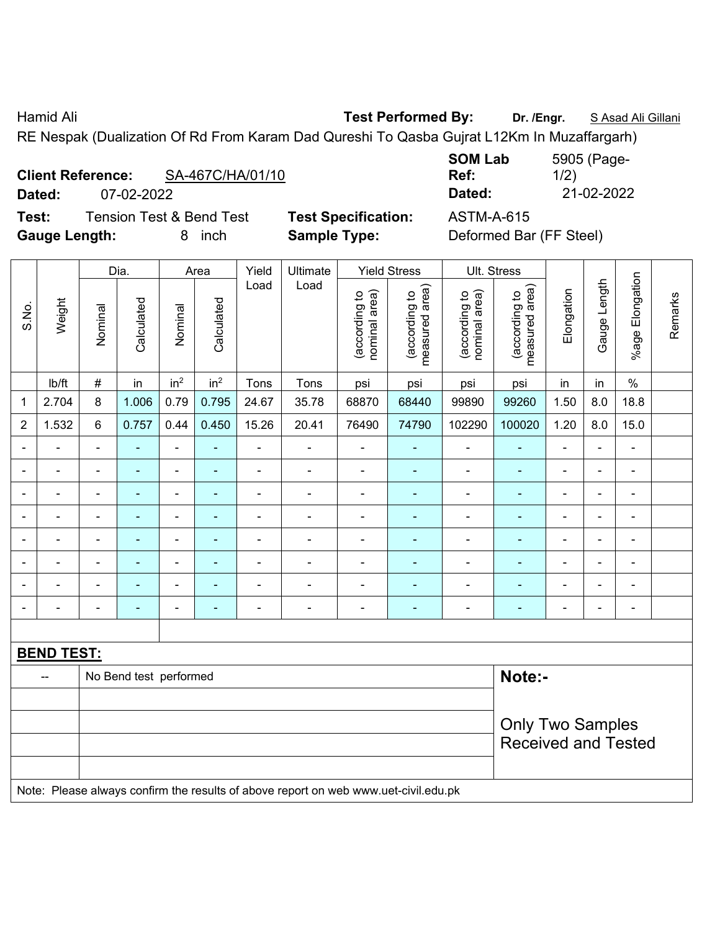Hamid Ali **Test Performed By: Dr. /Engr.** S Asad Ali Gillani

RE Nespak (Dualization Of Rd From Karam Dad Qureshi To Qasba Gujrat L12Km In Muzaffargarh)

# **Client Reference:** SA-467C/HA/01/10

**Dated:** 07-02-2022 **Dated:** 21-02-2022

**Test:** Tension Test & Bend Test **Test Specification:** ASTM-A-615 **Gauge Length:** 8 inch **Sample Type:** Deformed Bar (FF Steel)

| <b>SOM Lab</b> | 5905 (Page- |
|----------------|-------------|
| Ref:           | 1/2)        |
| Dated:         | 21-02-2022  |
|                |             |

|                          |                   | Dia.                    |                        | Area                     | Yield                    | Ultimate       |                                                                                     | <b>Yield Stress</b>            |                                 | Ult. Stress                    |                                 |                          |                          |                      |         |
|--------------------------|-------------------|-------------------------|------------------------|--------------------------|--------------------------|----------------|-------------------------------------------------------------------------------------|--------------------------------|---------------------------------|--------------------------------|---------------------------------|--------------------------|--------------------------|----------------------|---------|
| S.No.                    | Weight            | Nominal                 | Calculated             | Nominal                  | Calculated               | Load           | Load                                                                                | nominal area)<br>(according to | (according to<br>measured area) | nominal area)<br>(according to | (according to<br>measured area) | Elongation               | Gauge Length             | Elongation<br>%age I | Remarks |
|                          | lb/ft             | $\#$                    | in                     | in <sup>2</sup>          | in <sup>2</sup>          | Tons           | Tons                                                                                | psi                            | psi                             | psi                            | psi                             | in                       | in                       | $\%$                 |         |
| 1                        | 2.704             | 8                       | 1.006                  | 0.79                     | 0.795                    | 24.67          | 35.78                                                                               | 68870                          | 68440                           | 99890                          | 99260                           | 1.50                     | 8.0                      | 18.8                 |         |
| $\overline{2}$           | 1.532             | 6                       | 0.757                  | 0.44                     | 0.450                    | 15.26          | 20.41                                                                               | 76490                          | 74790                           | 102290                         | 100020                          | 1.20                     | 8.0                      | 15.0                 |         |
| $\overline{\phantom{a}}$ | $\blacksquare$    | $\blacksquare$          | $\blacksquare$         | $\blacksquare$           | ٠                        | $\blacksquare$ | $\overline{\phantom{a}}$                                                            | $\blacksquare$                 | $\qquad \qquad \blacksquare$    | $\blacksquare$                 | $\blacksquare$                  | $\overline{\phantom{a}}$ | $\blacksquare$           | $\blacksquare$       |         |
| ÷                        | $\blacksquare$    | $\blacksquare$          | ä,                     | $\blacksquare$           | ٠                        | $\blacksquare$ | $\blacksquare$                                                                      | $\blacksquare$                 | ٠                               | $\blacksquare$                 | ٠                               | ÷                        | $\blacksquare$           | $\blacksquare$       |         |
| $\blacksquare$           | $\blacksquare$    | $\blacksquare$          | ÷                      | ÷,                       | ÷                        | $\blacksquare$ | $\blacksquare$                                                                      | $\blacksquare$                 | $\blacksquare$                  | $\blacksquare$                 | $\blacksquare$                  | $\blacksquare$           | $\blacksquare$           | $\blacksquare$       |         |
|                          |                   | $\blacksquare$          |                        | ÷                        | ÷                        | ÷              | $\blacksquare$                                                                      | $\blacksquare$                 | ۰                               | $\blacksquare$                 | ۰                               |                          | ä,                       | $\blacksquare$       |         |
|                          |                   |                         | $\overline{a}$         | ۰                        |                          | -              |                                                                                     | $\qquad \qquad \blacksquare$   | ۰                               | $\blacksquare$                 | ۰                               |                          | $\blacksquare$           | $\blacksquare$       |         |
| $\blacksquare$           |                   | $\blacksquare$          | $\blacksquare$         | $\blacksquare$           | $\overline{\phantom{a}}$ | $\blacksquare$ | $\blacksquare$                                                                      | $\blacksquare$                 | $\blacksquare$                  | $\blacksquare$                 | $\blacksquare$                  | $\blacksquare$           | $\blacksquare$           | $\blacksquare$       |         |
| ۰                        |                   | $\blacksquare$          |                        | ۰                        | ÷                        |                | ٠                                                                                   | $\qquad \qquad \blacksquare$   | $\overline{\phantom{0}}$        |                                | $\overline{\phantom{0}}$        | $\overline{\phantom{0}}$ |                          | $\blacksquare$       |         |
| $\overline{\phantom{a}}$ |                   | $\blacksquare$          | $\blacksquare$         | $\overline{\phantom{a}}$ | ÷                        | $\blacksquare$ | $\overline{\phantom{a}}$                                                            | $\blacksquare$                 | ۰                               | $\overline{\phantom{a}}$       | ۰                               | $\overline{\phantom{a}}$ | $\overline{\phantom{a}}$ | $\blacksquare$       |         |
|                          |                   |                         |                        |                          |                          |                |                                                                                     |                                |                                 |                                |                                 |                          |                          |                      |         |
|                          | <b>BEND TEST:</b> |                         |                        |                          |                          |                |                                                                                     |                                |                                 |                                |                                 |                          |                          |                      |         |
|                          |                   |                         | No Bend test performed |                          |                          |                |                                                                                     |                                |                                 |                                | Note:-                          |                          |                          |                      |         |
|                          |                   |                         |                        |                          |                          |                |                                                                                     |                                |                                 |                                |                                 |                          |                          |                      |         |
|                          |                   | <b>Only Two Samples</b> |                        |                          |                          |                |                                                                                     |                                |                                 |                                |                                 |                          |                          |                      |         |
|                          |                   |                         |                        |                          |                          |                |                                                                                     |                                |                                 |                                | <b>Received and Tested</b>      |                          |                          |                      |         |
|                          |                   |                         |                        |                          |                          |                |                                                                                     |                                |                                 |                                |                                 |                          |                          |                      |         |
|                          |                   |                         |                        |                          |                          |                | Note: Please always confirm the results of above report on web www.uet-civil.edu.pk |                                |                                 |                                |                                 |                          |                          |                      |         |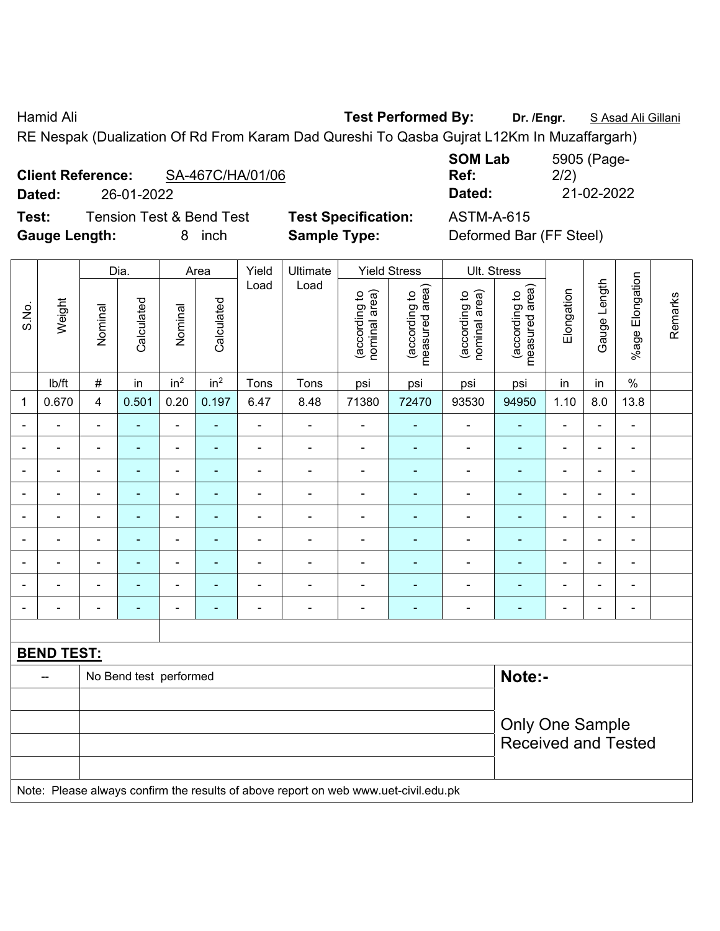Hamid Ali **Test Performed By: Dr. /Engr.** S Asad Ali Gillani

RE Nespak (Dualization Of Rd From Karam Dad Qureshi To Qasba Gujrat L12Km In Muzaffargarh)

## **Client Reference:** SA-467C/HA/01/06 **Dated:** 26-01-2022

**Gauge Length:** 8 inch **Sample Type:** Deformed Bar (FF Steel)

**Test:** Tension Test & Bend Test **Test Specification:** ASTM-A-615

| <b>SOM Lab</b> | 5905 (Page- |
|----------------|-------------|
| Ref:           | 2/2)        |
| Dated:         | 21-02-2022  |
|                |             |

|                          |                   |                | Dia.                   |                          | Area            | Yield                    | Ultimate                                                                            |                                | <b>Yield Stress</b>             | Ult. Stress                    |                                 |                          |                |                          |         |
|--------------------------|-------------------|----------------|------------------------|--------------------------|-----------------|--------------------------|-------------------------------------------------------------------------------------|--------------------------------|---------------------------------|--------------------------------|---------------------------------|--------------------------|----------------|--------------------------|---------|
| S.No.                    | Weight            | Nominal        | Calculated             | Nominal                  | Calculated      | Load                     | Load                                                                                | (according to<br>nominal area) | (according to<br>measured area) | (according to<br>nominal area) | measured area)<br>(according to | Elongation               | Gauge Length   | %age Elongation          | Remarks |
|                          | lb/ft             | $\#$           | in                     | in <sup>2</sup>          | in <sup>2</sup> | Tons                     | Tons                                                                                | psi                            | psi                             | psi                            | psi                             | in                       | in             | $\frac{0}{0}$            |         |
| $\mathbf 1$              | 0.670             | $\overline{4}$ | 0.501                  | 0.20                     | 0.197           | 6.47                     | 8.48                                                                                | 71380                          | 72470                           | 93530                          | 94950                           | 1.10                     | 8.0            | 13.8                     |         |
| $\blacksquare$           |                   | $\blacksquare$ |                        | $\blacksquare$           | ÷               | $\blacksquare$           | $\blacksquare$                                                                      | $\blacksquare$                 |                                 | ä,                             | ÷,                              |                          | ä,             | $\blacksquare$           |         |
| $\overline{\phantom{a}}$ |                   |                |                        |                          |                 |                          |                                                                                     |                                |                                 |                                | $\blacksquare$                  |                          | ä,             | $\blacksquare$           |         |
| $\overline{\phantom{0}}$ |                   |                |                        | ٠                        | ۰               | $\blacksquare$           | $\blacksquare$                                                                      | $\blacksquare$                 | ۰                               | ۰                              | $\blacksquare$                  | ٠                        |                | $\blacksquare$           |         |
| $\blacksquare$           | ÷,                | $\blacksquare$ |                        | $\overline{\phantom{a}}$ | ٠               | $\blacksquare$           | $\overline{\phantom{0}}$                                                            | $\overline{\phantom{a}}$       | ۰                               | $\blacksquare$                 | $\blacksquare$                  | $\blacksquare$           | -              | $\overline{\phantom{a}}$ |         |
| $\blacksquare$           | ÷                 |                |                        | $\blacksquare$           | ÷               | $\blacksquare$           | $\overline{a}$                                                                      | $\blacksquare$                 |                                 | Ĭ.                             | ÷,                              | ÷                        | ÷,             | $\overline{\phantom{a}}$ |         |
| $\blacksquare$           | ÷                 |                | $\blacksquare$         | $\blacksquare$           | ä,              | $\overline{\phantom{a}}$ | $\blacksquare$                                                                      | $\overline{\phantom{a}}$       | ۰                               | ä,                             | $\blacksquare$                  | $\overline{\phantom{a}}$ | ä,             | $\blacksquare$           |         |
| $\overline{\phantom{a}}$ |                   |                |                        |                          |                 |                          |                                                                                     |                                |                                 |                                |                                 |                          | $\overline{a}$ | ٠                        |         |
| $\overline{\phantom{a}}$ |                   |                |                        |                          |                 |                          |                                                                                     |                                |                                 |                                | $\overline{\phantom{a}}$        |                          | ۳              | $\blacksquare$           |         |
| $\blacksquare$           | Ē,                | $\blacksquare$ |                        | ä,                       |                 | $\blacksquare$           | $\blacksquare$                                                                      | $\blacksquare$                 |                                 | $\blacksquare$                 | $\blacksquare$                  | ä,                       | ÷              | $\overline{\phantom{a}}$ |         |
|                          |                   |                |                        |                          |                 |                          |                                                                                     |                                |                                 |                                |                                 |                          |                |                          |         |
|                          | <b>BEND TEST:</b> |                |                        |                          |                 |                          |                                                                                     |                                |                                 |                                |                                 |                          |                |                          |         |
|                          |                   |                | No Bend test performed |                          |                 |                          |                                                                                     |                                |                                 |                                | Note:-                          |                          |                |                          |         |
|                          |                   |                |                        |                          |                 |                          |                                                                                     |                                |                                 |                                |                                 |                          |                |                          |         |
|                          |                   |                |                        |                          |                 |                          |                                                                                     |                                |                                 |                                | <b>Only One Sample</b>          |                          |                |                          |         |
|                          |                   |                |                        |                          |                 |                          |                                                                                     |                                |                                 |                                | <b>Received and Tested</b>      |                          |                |                          |         |
|                          |                   |                |                        |                          |                 |                          |                                                                                     |                                |                                 |                                |                                 |                          |                |                          |         |
|                          |                   |                |                        |                          |                 |                          | Note: Please always confirm the results of above report on web www.uet-civil.edu.pk |                                |                                 |                                |                                 |                          |                |                          |         |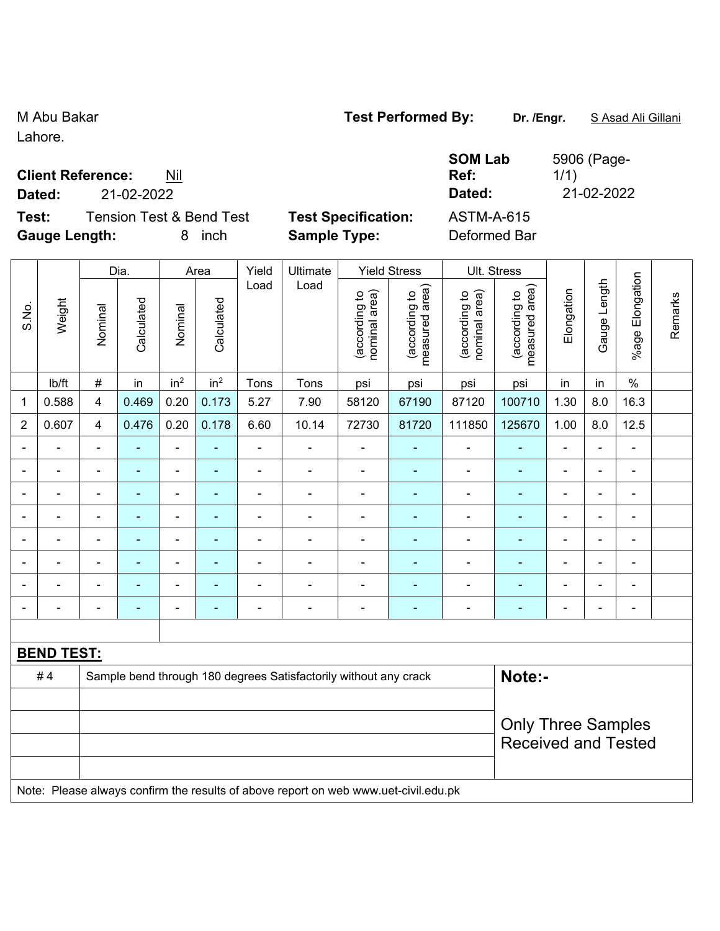Lahore.

## **Client Reference:** Nil

**Test:** Tension Test & Bend Test **Test Specification:** ASTM-A-615 **Gauge Length:** 8 inch **Sample Type:** Deformed Bar

|  | D |
|--|---|
|  |   |

|                |                   |                         | Dia.       |                              | Area            | Yield          | Ultimate                                                                            |                                | <b>Yield Stress</b>             |                                | Ult. Stress                     |                |                |                          |         |
|----------------|-------------------|-------------------------|------------|------------------------------|-----------------|----------------|-------------------------------------------------------------------------------------|--------------------------------|---------------------------------|--------------------------------|---------------------------------|----------------|----------------|--------------------------|---------|
| S.No.          | Weight            | Nominal                 | Calculated | Nominal                      | Calculated      | Load           | Load                                                                                | (according to<br>nominal area) | (according to<br>measured area) | nominal area)<br>(according to | measured area)<br>(according to | Elongation     | Gauge Length   | %age Elongation          | Remarks |
|                | lb/ft             | $\#$                    | in         | in <sup>2</sup>              | in <sup>2</sup> | Tons           | Tons                                                                                | psi                            | psi                             | psi                            | psi                             | in             | in             | $\%$                     |         |
| $\mathbf 1$    | 0.588             | $\overline{\mathbf{4}}$ | 0.469      | 0.20                         | 0.173           | 5.27           | 7.90                                                                                | 58120                          | 67190                           | 87120                          | 100710                          | 1.30           | 8.0            | 16.3                     |         |
| $\overline{2}$ | 0.607             | $\overline{4}$          | 0.476      | 0.20                         | 0.178           | 6.60           | 10.14                                                                               | 72730                          | 81720                           | 111850                         | 125670                          | 1.00           | 8.0            | 12.5                     |         |
|                |                   |                         |            |                              |                 | $\blacksquare$ |                                                                                     |                                |                                 | $\blacksquare$                 |                                 |                |                | $\blacksquare$           |         |
|                |                   | $\blacksquare$          | ä,         | $\qquad \qquad \blacksquare$ | ÷               | $\blacksquare$ | $\blacksquare$                                                                      | $\blacksquare$                 | ٠                               | $\blacksquare$                 | $\blacksquare$                  | ÷              | $\blacksquare$ | $\blacksquare$           |         |
|                |                   | $\blacksquare$          | ۰          | $\blacksquare$               | $\blacksquare$  | $\blacksquare$ | $\blacksquare$                                                                      | $\blacksquare$                 | ۰                               | $\overline{\phantom{a}}$       | $\blacksquare$                  | $\blacksquare$ | $\blacksquare$ | $\blacksquare$           |         |
|                |                   | $\blacksquare$          | ٠          | ÷                            | $\blacksquare$  | $\blacksquare$ | $\blacksquare$                                                                      | $\blacksquare$                 | ۰                               | ÷                              | ÷                               | ÷              |                | $\overline{\phantom{a}}$ |         |
|                |                   |                         | ÷,         |                              | $\blacksquare$  | $\blacksquare$ |                                                                                     | $\blacksquare$                 | ۰                               | ÷                              | ä,                              | $\blacksquare$ |                | $\blacksquare$           |         |
|                |                   |                         | ۰          |                              |                 | $\blacksquare$ |                                                                                     |                                |                                 |                                |                                 |                |                | $\overline{a}$           |         |
|                |                   |                         |            |                              |                 | $\blacksquare$ |                                                                                     |                                | $\blacksquare$                  | $\blacksquare$                 | ۰                               |                |                | $\blacksquare$           |         |
|                | $\blacksquare$    | $\blacksquare$          | ۰          | $\blacksquare$               | ÷               | $\blacksquare$ | $\blacksquare$                                                                      | $\blacksquare$                 | $\blacksquare$                  | $\blacksquare$                 | $\blacksquare$                  | $\blacksquare$ | $\blacksquare$ | $\blacksquare$           |         |
|                |                   |                         |            |                              |                 |                |                                                                                     |                                |                                 |                                |                                 |                |                |                          |         |
|                | <b>BEND TEST:</b> |                         |            |                              |                 |                |                                                                                     |                                |                                 |                                |                                 |                |                |                          |         |
|                | #4                |                         |            |                              |                 |                | Sample bend through 180 degrees Satisfactorily without any crack                    |                                |                                 |                                | Note:-                          |                |                |                          |         |
|                |                   |                         |            |                              |                 |                |                                                                                     |                                |                                 |                                |                                 |                |                |                          |         |
|                |                   |                         |            |                              |                 |                | <b>Only Three Samples</b>                                                           |                                |                                 |                                |                                 |                |                |                          |         |
|                |                   |                         |            |                              |                 |                |                                                                                     |                                |                                 |                                | <b>Received and Tested</b>      |                |                |                          |         |
|                |                   |                         |            |                              |                 |                |                                                                                     |                                |                                 |                                |                                 |                |                |                          |         |
|                |                   |                         |            |                              |                 |                | Note: Please always confirm the results of above report on web www.uet-civil.edu.pk |                                |                                 |                                |                                 |                |                |                          |         |

**SOM Lab Ref:**  5906 (Page-1/1) **Dated:** 21-02-2022 **Dated:** 21-02-2022

M Abu Bakar **Test Performed By:** Dr. /Engr. **SAsad Ali Gillani** By: Dr. /Engr. **SAsad Ali Gillani**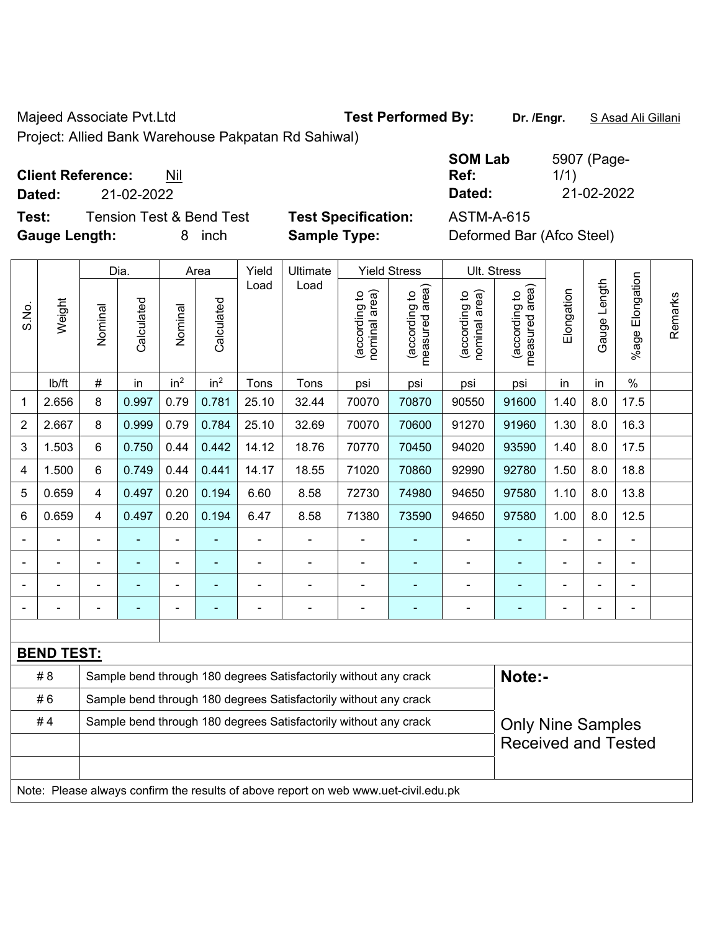Majeed Associate Pvt.Ltd **Test Performed By:** Dr. /Engr. **SAsad Ali Gillani** 

Project: Allied Bank Warehouse Pakpatan Rd Sahiwal)

## **Client Reference:** Nil

**Dated:** 21-02-2022 **Dated:** 21-02-2022

**Test:** Tension Test & Bend Test **Test Specification:** ASTM-A-615 **Gauge Length:** 8 inch **Sample Type:** Deformed Bar (Afco Steel)

| <b>SOM Lab</b> | 5907 (Page- |
|----------------|-------------|
| Ref:           | 1/1)        |
| Dated:         | 21-02-2022  |

|                                                                        |                   |      | Dia.    |                 | Area            | Yield      | Ultimate                                                                            |                | <b>Yield Stress</b>            |                                 | Ult. Stress                    |                                 |                |                          |                       |         |
|------------------------------------------------------------------------|-------------------|------|---------|-----------------|-----------------|------------|-------------------------------------------------------------------------------------|----------------|--------------------------------|---------------------------------|--------------------------------|---------------------------------|----------------|--------------------------|-----------------------|---------|
| S.No.                                                                  | Weight            |      | Nominal | Calculated      | Nominal         | Calculated | Load                                                                                | Load           | (according to<br>nominal area) | (according to<br>measured area) | (according to<br>nominal area) | measured area)<br>(according to | Elongation     | Gauge Length             | Elongation<br>$%$ age | Remarks |
|                                                                        | lb/ft             | $\#$ | in      | in <sup>2</sup> | in <sup>2</sup> | Tons       | Tons                                                                                | psi            | psi                            | psi                             | psi                            | in                              | in             | $\%$                     |                       |         |
| 1                                                                      | 2.656             | 8    | 0.997   | 0.79            | 0.781           | 25.10      | 32.44                                                                               | 70070          | 70870                          | 90550                           | 91600                          | 1.40                            | 8.0            | 17.5                     |                       |         |
| $\overline{2}$                                                         | 2.667             | 8    | 0.999   | 0.79            | 0.784           | 25.10      | 32.69                                                                               | 70070          | 70600                          | 91270                           | 91960                          | 1.30                            | 8.0            | 16.3                     |                       |         |
| 3                                                                      | 1.503             | 6    | 0.750   | 0.44            | 0.442           | 14.12      | 18.76                                                                               | 70770          | 70450                          | 94020                           | 93590                          | 1.40                            | 8.0            | 17.5                     |                       |         |
| 4                                                                      | 1.500             | 6    | 0.749   | 0.44            | 0.441           | 14.17      | 18.55                                                                               | 71020          | 70860                          | 92990                           | 92780                          | 1.50                            | 8.0            | 18.8                     |                       |         |
| 5                                                                      | 0.659             | 4    | 0.497   | 0.20            | 0.194           | 6.60       | 8.58                                                                                | 72730          | 74980                          | 94650                           | 97580                          | 1.10                            | 8.0            | 13.8                     |                       |         |
| 6                                                                      | 0.659             | 4    | 0.497   | 0.20            | 0.194           | 6.47       | 8.58                                                                                | 71380          | 73590                          | 94650                           | 97580                          | 1.00                            | 8.0            | 12.5                     |                       |         |
|                                                                        |                   |      |         | ÷,              |                 |            |                                                                                     | $\blacksquare$ |                                | ÷,                              |                                |                                 |                | ä,                       |                       |         |
|                                                                        |                   |      |         | ۰               |                 |            |                                                                                     |                |                                |                                 | $\blacksquare$                 |                                 |                | $\blacksquare$           |                       |         |
|                                                                        |                   |      |         | $\blacksquare$  |                 |            | $\blacksquare$                                                                      | $\blacksquare$ | ۰                              | L,                              | $\blacksquare$                 |                                 |                | $\blacksquare$           |                       |         |
|                                                                        |                   |      | ÷       | ÷,              | $\blacksquare$  | Ē,         | $\blacksquare$                                                                      | $\blacksquare$ | ÷                              | ÷                               | ÷,                             | $\blacksquare$                  | $\blacksquare$ | $\overline{\phantom{a}}$ |                       |         |
|                                                                        |                   |      |         |                 |                 |            |                                                                                     |                |                                |                                 |                                |                                 |                |                          |                       |         |
|                                                                        | <b>BEND TEST:</b> |      |         |                 |                 |            |                                                                                     |                |                                |                                 |                                |                                 |                |                          |                       |         |
|                                                                        | # 8               |      |         |                 |                 |            | Sample bend through 180 degrees Satisfactorily without any crack                    |                |                                |                                 | Note:-                         |                                 |                |                          |                       |         |
|                                                                        | #6                |      |         |                 |                 |            | Sample bend through 180 degrees Satisfactorily without any crack                    |                |                                |                                 |                                |                                 |                |                          |                       |         |
| #4<br>Sample bend through 180 degrees Satisfactorily without any crack |                   |      |         |                 |                 |            |                                                                                     |                |                                | <b>Only Nine Samples</b>        |                                |                                 |                |                          |                       |         |
|                                                                        |                   |      |         |                 |                 |            |                                                                                     |                |                                | <b>Received and Tested</b>      |                                |                                 |                |                          |                       |         |
|                                                                        |                   |      |         |                 |                 |            |                                                                                     |                |                                |                                 |                                |                                 |                |                          |                       |         |
|                                                                        |                   |      |         |                 |                 |            | Note: Please always confirm the results of above report on web www.uet-civil.edu.pk |                |                                |                                 |                                |                                 |                |                          |                       |         |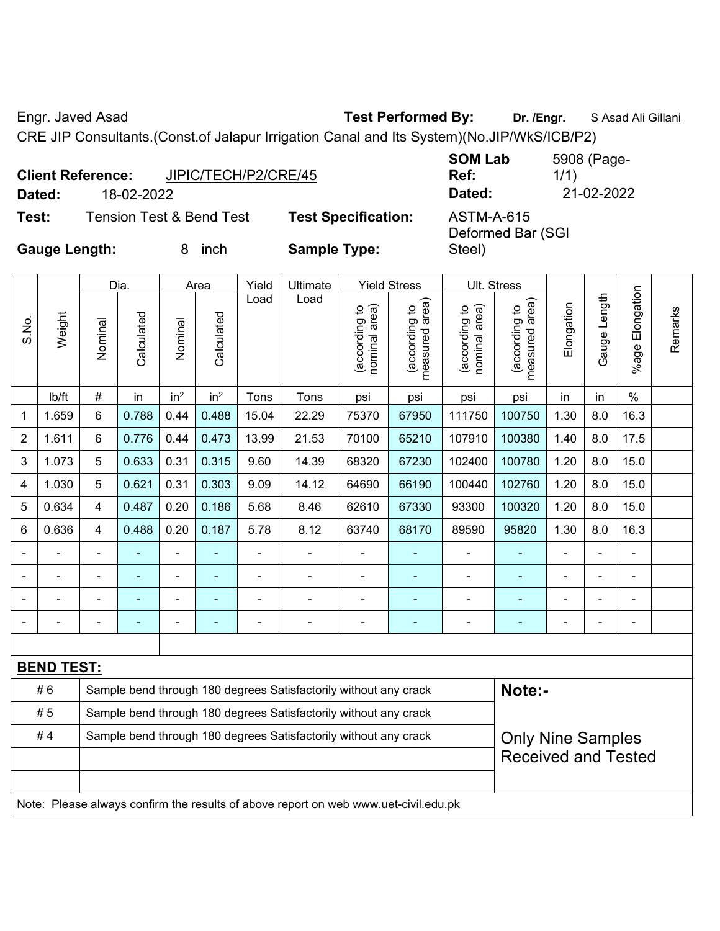Engr. Javed Asad **Test Performed By: Dr. /Engr.** S Asad Ali Gillani

CRE JIP Consultants.(Const.of Jalapur Irrigation Canal and Its System)(No.JIP/WkS/ICB/P2)

| <b>Client Reference:</b><br>Dated: | 18-02-2022 | JIPIC/TECH/P2/CRE/45                |                            | <b>SOM Lab</b><br>Ref:<br>Dated: | 5908 (Page-<br>1/1)<br>21-02-2022 |  |  |  |
|------------------------------------|------------|-------------------------------------|----------------------------|----------------------------------|-----------------------------------|--|--|--|
| Test:                              |            | <b>Tension Test &amp; Bend Test</b> | <b>Test Specification:</b> | ASTM-A-615<br>Deformed Bar (SGI  |                                   |  |  |  |
| <b>Gauge Length:</b>               |            | inch<br>x.                          | <b>Sample Type:</b>        | Steel)                           |                                   |  |  |  |

|                |                                                                                     |                                                | Dia.           |                 | Area                           | Yield                           | Ultimate                                                         |                                 | <b>Yield Stress</b> |              | Ult. Stress                |         |                |                |  |
|----------------|-------------------------------------------------------------------------------------|------------------------------------------------|----------------|-----------------|--------------------------------|---------------------------------|------------------------------------------------------------------|---------------------------------|---------------------|--------------|----------------------------|---------|----------------|----------------|--|
| S.No.          | Weight                                                                              | Calculated<br>Calculated<br>Nominal<br>Nominal | Load           | Load            | nominal area)<br>(according to | (according to<br>measured area) | nominal area)<br>(according to                                   | measured area)<br>(according to | Elongation          | Gauge Length | %age Elongation            | Remarks |                |                |  |
|                | lb/ft                                                                               | #                                              | in             | in <sup>2</sup> | in <sup>2</sup>                | Tons                            | Tons                                                             | psi                             | psi                 | psi          | psi                        | in      | in             | $\%$           |  |
| 1              | 1.659                                                                               | 6                                              | 0.788          | 0.44            | 0.488                          | 15.04                           | 22.29                                                            | 75370                           | 67950               | 111750       | 100750                     | 1.30    | 8.0            | 16.3           |  |
| $\overline{2}$ | 1.611                                                                               | 6                                              | 0.776          | 0.44            | 0.473                          | 13.99                           | 21.53                                                            | 70100                           | 65210               | 107910       | 100380                     | 1.40    | 8.0            | 17.5           |  |
| 3              | 1.073                                                                               | 5                                              | 0.633          | 0.31            | 0.315                          | 9.60                            | 14.39                                                            | 68320                           | 67230               | 102400       | 100780                     | 1.20    | 8.0            | 15.0           |  |
| 4              | 1.030                                                                               | 5                                              | 0.621          | 0.31            | 0.303                          | 9.09                            | 14.12                                                            | 64690                           | 66190               | 100440       | 102760                     | 1.20    | 8.0            | 15.0           |  |
| 5              | 0.634                                                                               | 4                                              | 0.487          | 0.20            | 0.186                          | 5.68                            | 8.46                                                             | 62610                           | 67330               | 93300        | 100320                     | 1.20    | 8.0            | 15.0           |  |
| 6              | 0.636                                                                               | 4                                              | 0.488          | 0.20            | 0.187                          | 5.78                            | 8.12                                                             | 63740                           | 68170               | 89590        | 95820                      | 1.30    | 8.0            | 16.3           |  |
|                |                                                                                     |                                                |                | $\blacksquare$  |                                |                                 |                                                                  |                                 |                     |              |                            |         |                |                |  |
|                |                                                                                     |                                                |                |                 |                                |                                 |                                                                  |                                 |                     |              |                            |         |                |                |  |
|                |                                                                                     |                                                | ۰              | $\blacksquare$  |                                |                                 |                                                                  |                                 | $\blacksquare$      | Ē,           | $\blacksquare$             |         |                | $\blacksquare$ |  |
| $\blacksquare$ |                                                                                     |                                                | $\blacksquare$ | $\blacksquare$  | ۰                              |                                 | $\blacksquare$                                                   | $\blacksquare$                  | $\blacksquare$      | ÷            |                            |         | $\blacksquare$ | $\blacksquare$ |  |
|                |                                                                                     |                                                |                |                 |                                |                                 |                                                                  |                                 |                     |              |                            |         |                |                |  |
|                | <b>BEND TEST:</b>                                                                   |                                                |                |                 |                                |                                 |                                                                  |                                 |                     |              |                            |         |                |                |  |
|                | #6                                                                                  |                                                |                |                 |                                |                                 | Sample bend through 180 degrees Satisfactorily without any crack |                                 |                     |              | Note:-                     |         |                |                |  |
|                | #5                                                                                  |                                                |                |                 |                                |                                 | Sample bend through 180 degrees Satisfactorily without any crack |                                 |                     |              |                            |         |                |                |  |
|                | #4<br>Sample bend through 180 degrees Satisfactorily without any crack              |                                                |                |                 |                                |                                 |                                                                  |                                 |                     |              | <b>Only Nine Samples</b>   |         |                |                |  |
|                |                                                                                     |                                                |                |                 |                                |                                 |                                                                  |                                 |                     |              | <b>Received and Tested</b> |         |                |                |  |
|                |                                                                                     |                                                |                |                 |                                |                                 |                                                                  |                                 |                     |              |                            |         |                |                |  |
|                | Note: Please always confirm the results of above report on web www.uet-civil.edu.pk |                                                |                |                 |                                |                                 |                                                                  |                                 |                     |              |                            |         |                |                |  |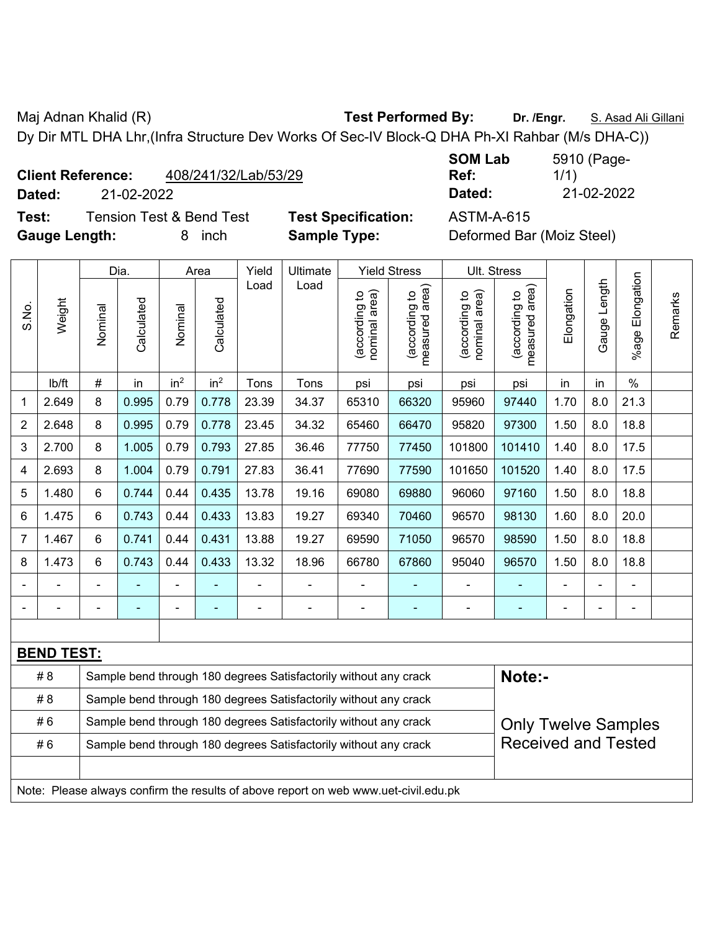Maj Adnan Khalid (R) **Test Performed By:** Dr. /Engr. **S. Asad Ali Gillani** Ali Gillani

Dy Dir MTL DHA Lhr,(Infra Structure Dev Works Of Sec-IV Block-Q DHA Ph-XI Rahbar (M/s DHA-C))

| <b>Client Reference:</b> | 408/241/32/Lab/53/29 |
|--------------------------|----------------------|
|                          |                      |

**Test:** Tension Test & Bend Test **Test Specification:** ASTM-A-615 **Gauge Length:** 8 inch **Sample Type:** Deformed Bar (Moiz Steel)

**SOM Lab Ref:**  5910 (Page-1/1) **Dated:** 21-02-2022 **Dated:** 21-02-2022

| Weight | Dia.            |                   | Area            |                 | Yield<br>Ultimate |                |                | <b>Yield Stress</b>            |                                                                                                                                                                                                                                                                              |                                |                                 |                |                |                                               |
|--------|-----------------|-------------------|-----------------|-----------------|-------------------|----------------|----------------|--------------------------------|------------------------------------------------------------------------------------------------------------------------------------------------------------------------------------------------------------------------------------------------------------------------------|--------------------------------|---------------------------------|----------------|----------------|-----------------------------------------------|
|        |                 | Nominal           | Calculated      | Nominal         | Calculated        | Load           | Load           | nominal area)<br>(according to | (according to<br>measured area)                                                                                                                                                                                                                                              | nominal area)<br>(according to | measured area)<br>(according to | Elongation     | Gauge Length   |                                               |
| lb/ft  | #               | in                | in <sup>2</sup> | in <sup>2</sup> | Tons              | Tons           | psi            | psi                            | psi                                                                                                                                                                                                                                                                          | psi                            | in                              | in             | $\%$           |                                               |
| 2.649  | 8               | 0.995             | 0.79            | 0.778           | 23.39             | 34.37          | 65310          | 66320                          | 95960                                                                                                                                                                                                                                                                        | 97440                          | 1.70                            | 8.0            | 21.3           |                                               |
| 2.648  | 8               | 0.995             | 0.79            | 0.778           | 23.45             | 34.32          | 65460          | 66470                          | 95820                                                                                                                                                                                                                                                                        | 97300                          | 1.50                            | 8.0            | 18.8           |                                               |
| 2.700  | 8               | 1.005             | 0.79            | 0.793           | 27.85             | 36.46          | 77750          | 77450                          | 101800                                                                                                                                                                                                                                                                       | 101410                         | 1.40                            | 8.0            | 17.5           |                                               |
| 2.693  | 8               | 1.004             | 0.79            | 0.791           | 27.83             | 36.41          | 77690          | 77590                          | 101650                                                                                                                                                                                                                                                                       | 101520                         | 1.40                            | 8.0            | 17.5           |                                               |
| 1.480  | $6\phantom{1}$  | 0.744             | 0.44            | 0.435           | 13.78             | 19.16          | 69080          | 69880                          | 96060                                                                                                                                                                                                                                                                        | 97160                          | 1.50                            | 8.0            | 18.8           |                                               |
| 1.475  | 6               | 0.743             | 0.44            | 0.433           | 13.83             | 19.27          | 69340          | 70460                          | 96570                                                                                                                                                                                                                                                                        | 98130                          | 1.60                            | 8.0            | 20.0           |                                               |
| 1.467  | 6               | 0.741             | 0.44            | 0.431           | 13.88             | 19.27          | 69590          | 71050                          | 96570                                                                                                                                                                                                                                                                        | 98590                          | 1.50                            | 8.0            | 18.8           |                                               |
| 1.473  | $6\phantom{1}$  | 0.743             | 0.44            | 0.433           | 13.32             | 18.96          | 66780          | 67860                          | 95040                                                                                                                                                                                                                                                                        | 96570                          | 1.50                            | 8.0            | 18.8           |                                               |
|        | $\blacksquare$  |                   | $\blacksquare$  | ä,              |                   |                | $\blacksquare$ |                                | ä,                                                                                                                                                                                                                                                                           |                                |                                 | $\blacksquare$ | $\blacksquare$ |                                               |
|        |                 |                   | Ē,              | ä,              | $\blacksquare$    | $\blacksquare$ | $\blacksquare$ |                                | $\blacksquare$                                                                                                                                                                                                                                                               |                                | -                               | $\blacksquare$ | ä,             |                                               |
|        |                 |                   |                 |                 |                   |                |                |                                |                                                                                                                                                                                                                                                                              |                                |                                 |                |                |                                               |
|        |                 |                   |                 |                 |                   |                |                |                                |                                                                                                                                                                                                                                                                              |                                |                                 |                |                |                                               |
|        |                 |                   |                 |                 |                   |                |                |                                |                                                                                                                                                                                                                                                                              | Note:-                         |                                 |                |                |                                               |
|        |                 |                   |                 |                 |                   |                |                |                                |                                                                                                                                                                                                                                                                              |                                |                                 |                |                |                                               |
| #6     |                 |                   |                 |                 |                   |                |                |                                |                                                                                                                                                                                                                                                                              |                                |                                 |                |                |                                               |
|        |                 |                   |                 |                 |                   |                |                |                                |                                                                                                                                                                                                                                                                              |                                | <b>Received and Tested</b>      |                |                |                                               |
|        |                 |                   |                 |                 |                   |                |                |                                |                                                                                                                                                                                                                                                                              |                                |                                 |                |                |                                               |
|        | #8<br># 8<br>#6 | <b>BEND TEST:</b> |                 |                 |                   |                |                |                                | Sample bend through 180 degrees Satisfactorily without any crack<br>Sample bend through 180 degrees Satisfactorily without any crack<br>Sample bend through 180 degrees Satisfactorily without any crack<br>Sample bend through 180 degrees Satisfactorily without any crack |                                | Ult. Stress                     |                |                | %age Elongation<br><b>Only Twelve Samples</b> |

Note: Please always confirm the results of above report on web www.uet-civil.edu.pk